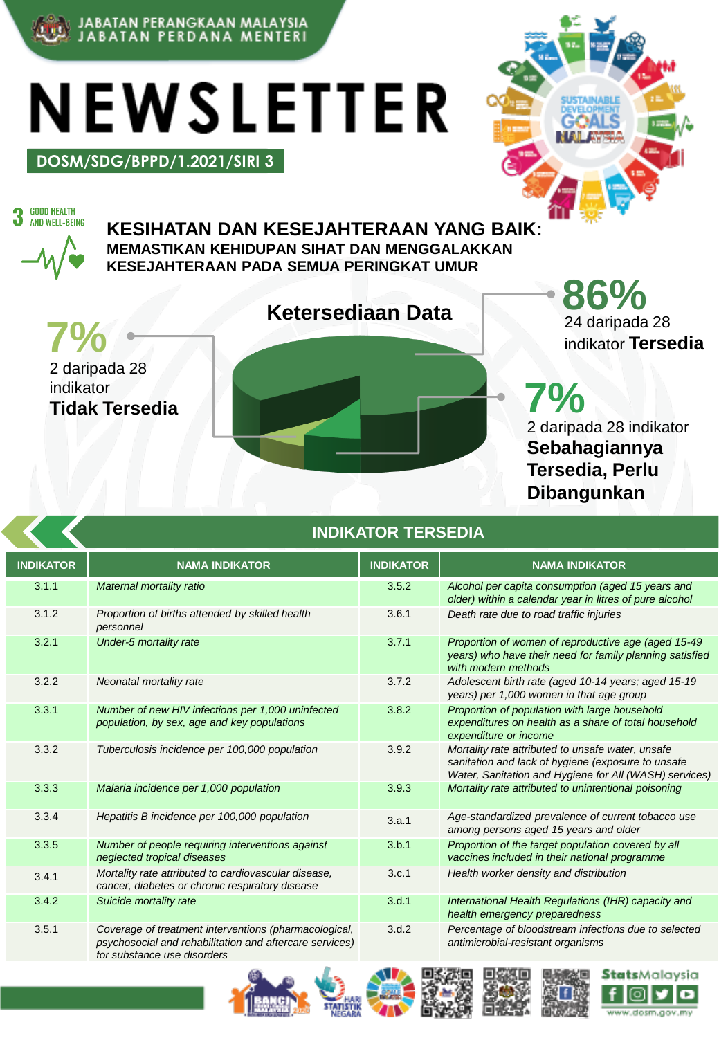

JABATAN PERANGKAAN MALAYSIA<br>JABATAN PERDANA MENTERI

**DOSM/SDG/BPPD/1.2021/SIRI 3**

NEWSLETTER



**GOOD HEALTH** 3 AND WELL-BEING

**KESIHATAN DAN KESEJAHTERAAN YANG BAIK: MEMASTIKAN KEHIDUPAN SIHAT DAN MENGGALAKKAN KESEJAHTERAAN PADA SEMUA PERINGKAT UMUR**

**7% 24 daripada 28**<br>indikator **Terse** 2 daripada 28 indikator **Tidak Tersedia**

**Ketersediaan Data 1988 24 daripada 28** indikator **Tersedia**

> **7%** 2 daripada 28 indikator **Sebahagiannya Tersedia, Perlu Dibangunkan**

|                  | <b>INDIKATOR TERSEDIA</b>                                                                                                                       |                  |                                                                                                                                                                   |
|------------------|-------------------------------------------------------------------------------------------------------------------------------------------------|------------------|-------------------------------------------------------------------------------------------------------------------------------------------------------------------|
| <b>INDIKATOR</b> | <b>NAMA INDIKATOR</b>                                                                                                                           | <b>INDIKATOR</b> | <b>NAMA INDIKATOR</b>                                                                                                                                             |
| 3.1.1            | Maternal mortality ratio                                                                                                                        | 3.5.2            | Alcohol per capita consumption (aged 15 years and<br>older) within a calendar year in litres of pure alcohol                                                      |
| 3.1.2            | Proportion of births attended by skilled health<br>personnel                                                                                    | 3.6.1            | Death rate due to road traffic injuries                                                                                                                           |
| 3.2.1            | Under-5 mortality rate                                                                                                                          | 3.7.1            | Proportion of women of reproductive age (aged 15-49)<br>years) who have their need for family planning satisfied<br>with modern methods                           |
| 3.2.2            | Neonatal mortality rate                                                                                                                         | 3.7.2            | Adolescent birth rate (aged 10-14 years; aged 15-19<br>years) per 1,000 women in that age group                                                                   |
| 3.3.1            | Number of new HIV infections per 1,000 uninfected<br>population, by sex, age and key populations                                                | 3.8.2            | Proportion of population with large household<br>expenditures on health as a share of total household<br>expenditure or income                                    |
| 3.3.2            | Tuberculosis incidence per 100,000 population                                                                                                   | 3.9.2            | Mortality rate attributed to unsafe water, unsafe<br>sanitation and lack of hygiene (exposure to unsafe<br>Water, Sanitation and Hygiene for All (WASH) services) |
| 3.3.3            | Malaria incidence per 1,000 population                                                                                                          | 3.9.3            | Mortality rate attributed to unintentional poisoning                                                                                                              |
| 3.3.4            | Hepatitis B incidence per 100,000 population                                                                                                    | 3.a.1            | Age-standardized prevalence of current tobacco use<br>among persons aged 15 years and older                                                                       |
| 3.3.5            | Number of people requiring interventions against<br>neglected tropical diseases                                                                 | 3.b.1            | Proportion of the target population covered by all<br>vaccines included in their national programme                                                               |
| 3.4.1            | Mortality rate attributed to cardiovascular disease,<br>cancer, diabetes or chronic respiratory disease                                         | 3.c.1            | Health worker density and distribution                                                                                                                            |
| 3.4.2            | Suicide mortality rate                                                                                                                          | 3.d.1            | International Health Regulations (IHR) capacity and<br>health emergency preparedness                                                                              |
| 3.5.1            | Coverage of treatment interventions (pharmacological,<br>psychosocial and rehabilitation and aftercare services)<br>for substance use disorders | 3.d.2            | Percentage of bloodstream infections due to selected<br>antimicrobial-resistant organisms                                                                         |
|                  | <b>START</b>                                                                                                                                    |                  | وصريعي للبرابي<br><b>BELLEVIE BELL</b>                                                                                                                            |







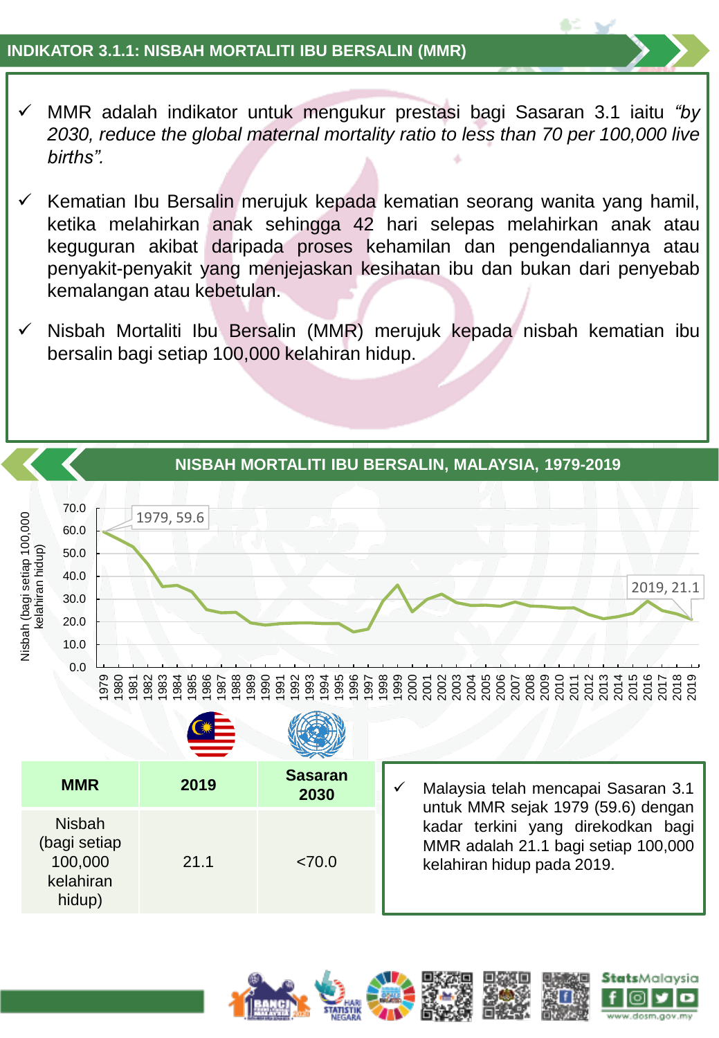## **INDIKATOR 3.1.1: NISBAH MORTALITI IBU BERSALIN (MMR)**

- ✓ MMR adalah indikator untuk mengukur prestasi bagi Sasaran 3.1 iaitu *"by 2030, reduce the global maternal mortality ratio to less than 70 per 100,000 live births".*
- ✓ Kematian Ibu Bersalin merujuk kepada kematian seorang wanita yang hamil, ketika melahirkan anak sehingga 42 hari selepas melahirkan anak atau keguguran akibat daripada proses kehamilan dan pengendaliannya atau penyakit-penyakit yang menjejaskan kesihatan ibu dan bukan dari penyebab kemalangan atau kebetulan.
- ✓ Nisbah Mortaliti Ibu Bersalin (MMR) merujuk kepada nisbah kematian ibu bersalin bagi setiap 100,000 kelahiran hidup.